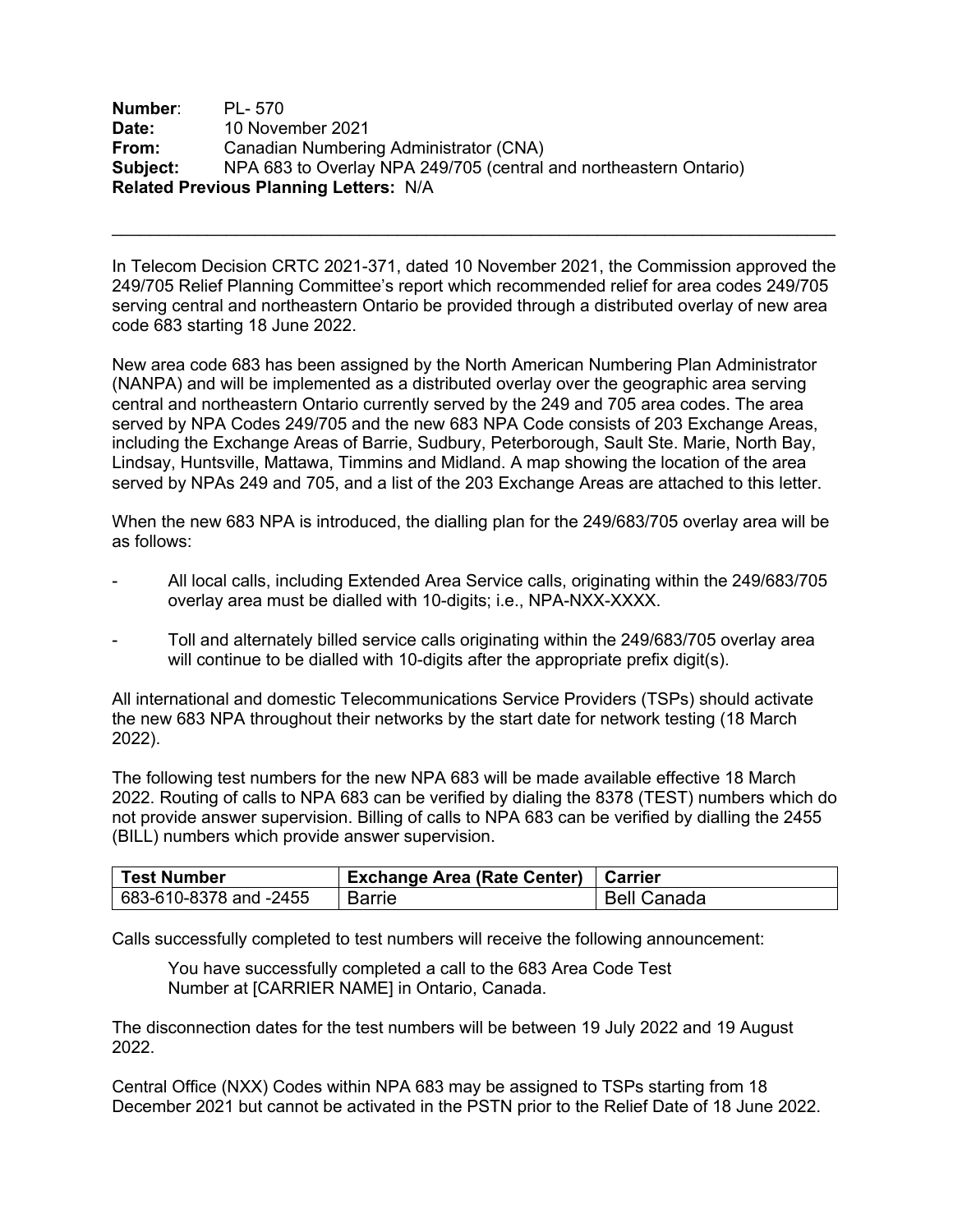**Number**: PL- 570 **Date:** 10 November 2021 **From:** Canadian Numbering Administrator (CNA) **Subject:** NPA 683 to Overlay NPA 249/705 (central and northeastern Ontario) **Related Previous Planning Letters:** N/A

In Telecom Decision CRTC 2021-371, dated 10 November 2021, the Commission approved the 249/705 Relief Planning Committee's report which recommended relief for area codes 249/705 serving central and northeastern Ontario be provided through a distributed overlay of new area code 683 starting 18 June 2022.

New area code 683 has been assigned by the North American Numbering Plan Administrator (NANPA) and will be implemented as a distributed overlay over the geographic area serving central and northeastern Ontario currently served by the 249 and 705 area codes. The area served by NPA Codes 249/705 and the new 683 NPA Code consists of 203 Exchange Areas, including the Exchange Areas of Barrie, Sudbury, Peterborough, Sault Ste. Marie, North Bay, Lindsay, Huntsville, Mattawa, Timmins and Midland. A map showing the location of the area served by NPAs 249 and 705, and a list of the 203 Exchange Areas are attached to this letter.

When the new 683 NPA is introduced, the dialling plan for the 249/683/705 overlay area will be as follows:

- All local calls, including Extended Area Service calls, originating within the 249/683/705 overlay area must be dialled with 10-digits; i.e., NPA-NXX-XXXX.
- Toll and alternately billed service calls originating within the 249/683/705 overlay area will continue to be dialled with 10-digits after the appropriate prefix digit(s).

All international and domestic Telecommunications Service Providers (TSPs) should activate the new 683 NPA throughout their networks by the start date for network testing (18 March 2022).

The following test numbers for the new NPA 683 will be made available effective 18 March 2022. Routing of calls to NPA 683 can be verified by dialing the 8378 (TEST) numbers which do not provide answer supervision. Billing of calls to NPA 683 can be verified by dialling the 2455 (BILL) numbers which provide answer supervision.

| <b>Test Number</b>     | Exchange Area (Rate Center)   Carrier |                    |
|------------------------|---------------------------------------|--------------------|
| 683-610-8378 and -2455 | Barrie                                | <b>Bell Canada</b> |

Calls successfully completed to test numbers will receive the following announcement:

You have successfully completed a call to the 683 Area Code Test Number at [CARRIER NAME] in Ontario, Canada.

The disconnection dates for the test numbers will be between 19 July 2022 and 19 August 2022.

Central Office (NXX) Codes within NPA 683 may be assigned to TSPs starting from 18 December 2021 but cannot be activated in the PSTN prior to the Relief Date of 18 June 2022.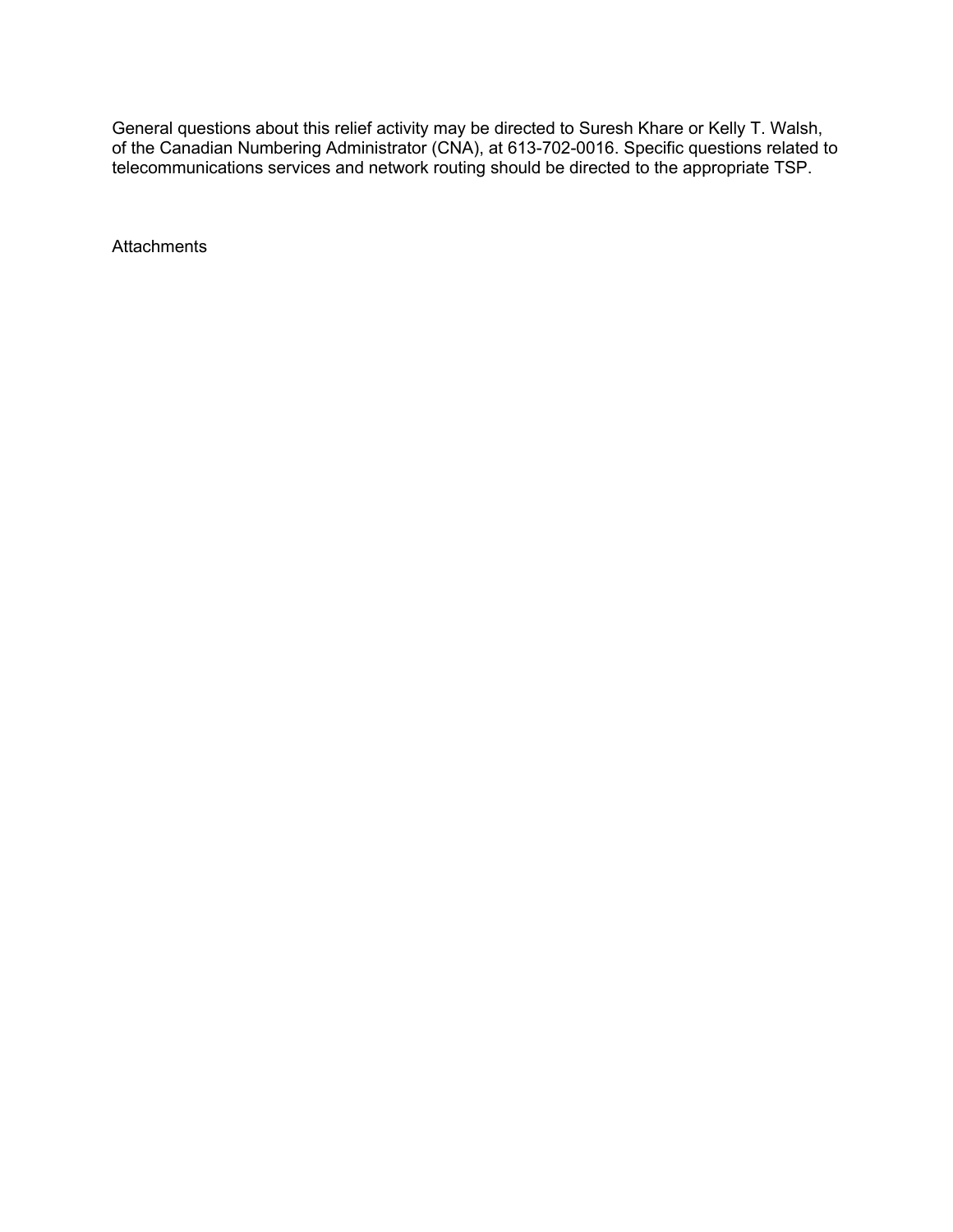General questions about this relief activity may be directed to Suresh Khare or Kelly T. Walsh, of the Canadian Numbering Administrator (CNA), at 613-702-0016. Specific questions related to telecommunications services and network routing should be directed to the appropriate TSP.

**Attachments**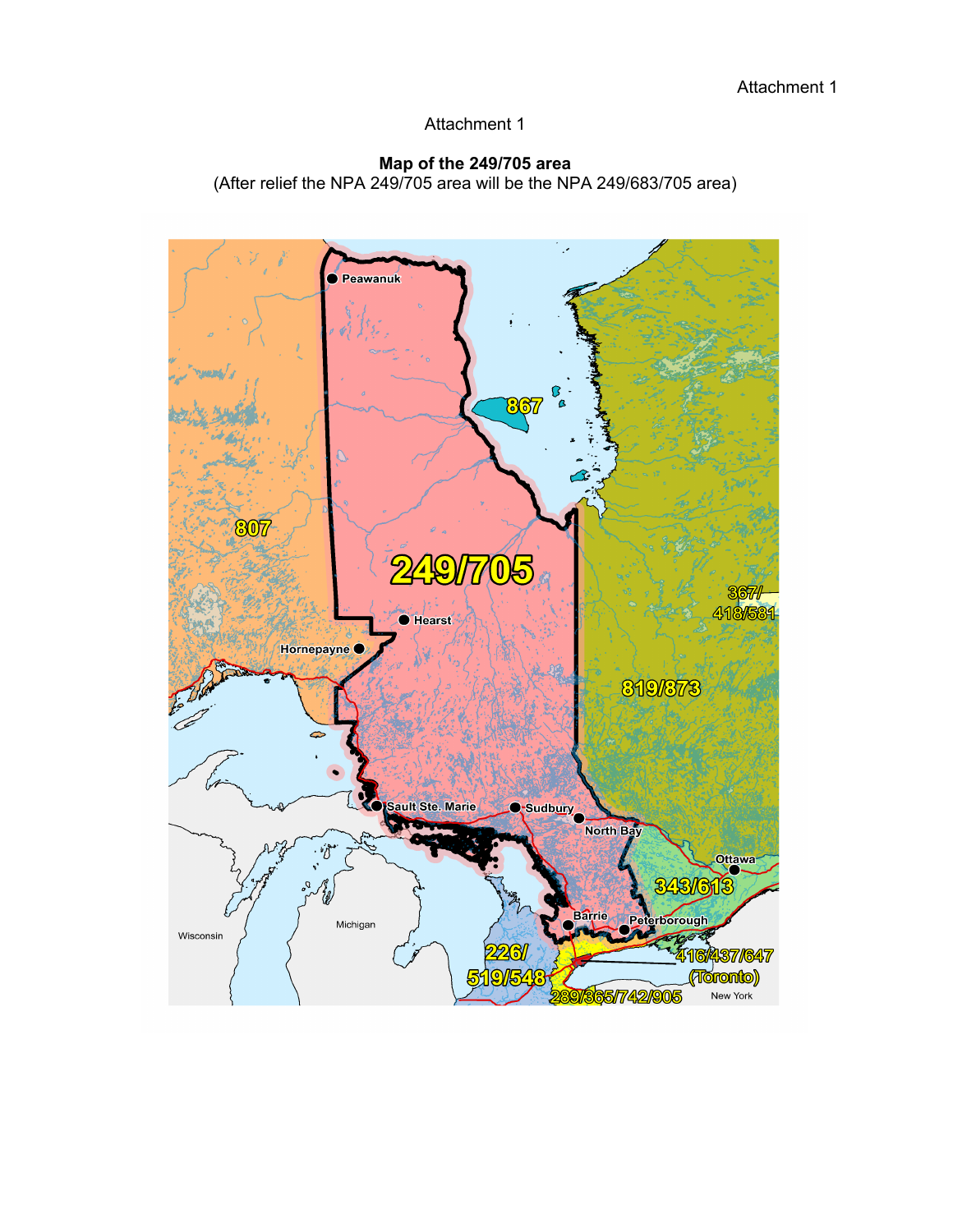#### **Map of the 249/705 area**

(After relief the NPA 249/705 area will be the NPA 249/683/705 area)

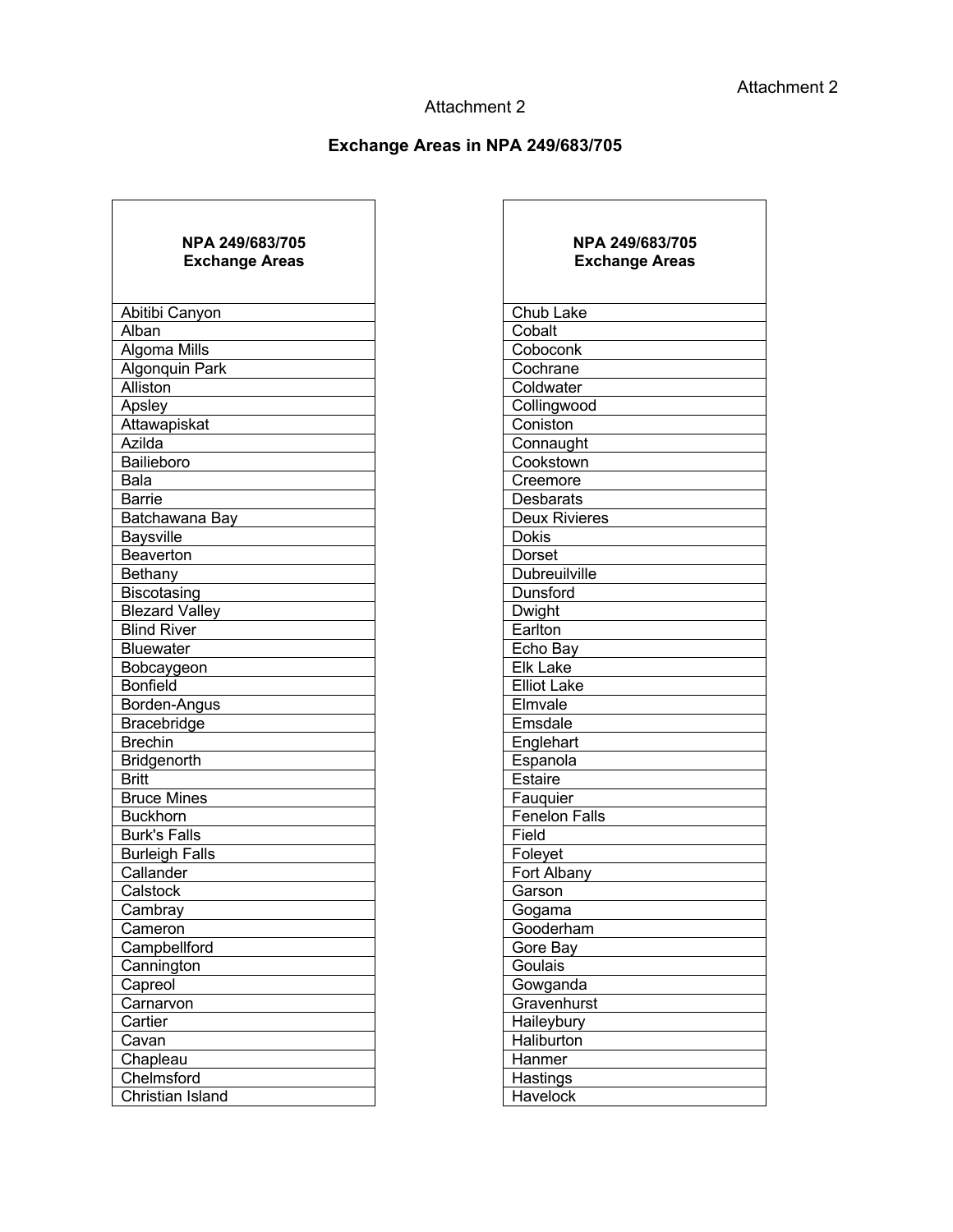## **Exchange Areas in NPA 249/683/705**

| <b>NPA 249/683/705</b><br><b>Exchange Areas</b> |  |  |
|-------------------------------------------------|--|--|
| Abitibi Canyon                                  |  |  |
| Alban                                           |  |  |
| Algoma Mills                                    |  |  |
| <b>Algonquin Park</b>                           |  |  |
| Alliston                                        |  |  |
| Apsley                                          |  |  |
| Attawapiskat                                    |  |  |
| Azilda                                          |  |  |
| Bailieboro                                      |  |  |
| $\overline{B}$ ala                              |  |  |
| Barrie                                          |  |  |
| Batchawana Bay                                  |  |  |
| <b>Baysville</b>                                |  |  |
| <b>Beaverton</b>                                |  |  |
| Bethany                                         |  |  |
| Biscotasing                                     |  |  |
| <b>Blezard Valley</b>                           |  |  |
| <b>Blind River</b>                              |  |  |
| <b>Bluewater</b>                                |  |  |
| Bobcaygeon                                      |  |  |
| <b>Bonfield</b>                                 |  |  |
| Borden-Angus                                    |  |  |
| Bracebridge                                     |  |  |
| <b>Brechin</b>                                  |  |  |
| Bridgenorth                                     |  |  |
| <b>Britt</b>                                    |  |  |
| <b>Bruce Mines</b>                              |  |  |
| <b>Buckhorn</b>                                 |  |  |
| <b>Burk's Falls</b>                             |  |  |
| <b>Burleigh Falls</b>                           |  |  |
| Callander                                       |  |  |
| Calstock                                        |  |  |
| Cambray                                         |  |  |
| Cameron                                         |  |  |
| Campbellford                                    |  |  |
| Cannington                                      |  |  |
| <u>Capreol</u>                                  |  |  |
| <u>Carnarvon</u><br>Cartier                     |  |  |
|                                                 |  |  |
| Cavan<br>Chapleau                               |  |  |
| Chelmsford                                      |  |  |
| Christian Island                                |  |  |
|                                                 |  |  |

| NPA 249/683/705<br><b>Exchange Areas</b> | NPA 249/683/705<br><b>Exchange Areas</b> |
|------------------------------------------|------------------------------------------|
| Abitibi Canyon                           | Chub Lake                                |
| Alban                                    | Cobalt                                   |
| Algoma Mills                             | Coboconk                                 |
| Algonquin Park                           | Cochrane                                 |
| Alliston                                 | Coldwater                                |
| Apsley                                   | Collingwood                              |
| <b>Attawapiskat</b>                      | Coniston                                 |
| Azilda                                   | Connaught                                |
| Bailieboro                               | Cookstown                                |
| Bala                                     | Creemore                                 |
| Barrie                                   | <b>Desbarats</b>                         |
| Batchawana Bay                           | <b>Deux Rivieres</b>                     |
| <b>Baysville</b>                         | <b>Dokis</b>                             |
| <b>Beaverton</b>                         | Dorset                                   |
| Bethany                                  | <b>Dubreuilville</b>                     |
| Biscotasing                              | Dunsford                                 |
| <b>Blezard Valley</b>                    | Dwight                                   |
| <b>Blind River</b>                       | Earlton                                  |
| <b>Bluewater</b>                         | Echo Bay                                 |
| Bobcaygeon                               | <b>Elk Lake</b>                          |
| <b>Bonfield</b>                          | <b>Elliot Lake</b>                       |
| Borden-Angus                             | Elmvale                                  |
| Bracebridge                              | Emsdale                                  |
| <b>Brechin</b>                           | Englehart                                |
| Bridgenorth                              | Espanola                                 |
| <b>Britt</b>                             | Estaire                                  |
| <b>Bruce Mines</b>                       | Fauquier                                 |
| <b>Buckhorn</b>                          | <b>Fenelon Falls</b>                     |
| <b>Burk's Falls</b>                      | Field                                    |
| <b>Burleigh Falls</b>                    | Foleyet                                  |
| Callander                                | Fort Albany                              |
| Calstock                                 | Garson                                   |
| Cambray                                  | Gogama                                   |
| Cameron                                  | Gooderham                                |
| Campbellford                             | Gore Bay                                 |
| Cannington                               | Goulais                                  |
| Capreol                                  | Gowganda                                 |
| Carnarvon                                | Gravenhurst                              |
| Cartier                                  | Haileybury                               |
| Cavan                                    | Haliburton                               |
| Chapleau                                 | Hanmer                                   |
| Chelmsford                               | Hastings                                 |
| Christian Island                         | Havelock                                 |
|                                          |                                          |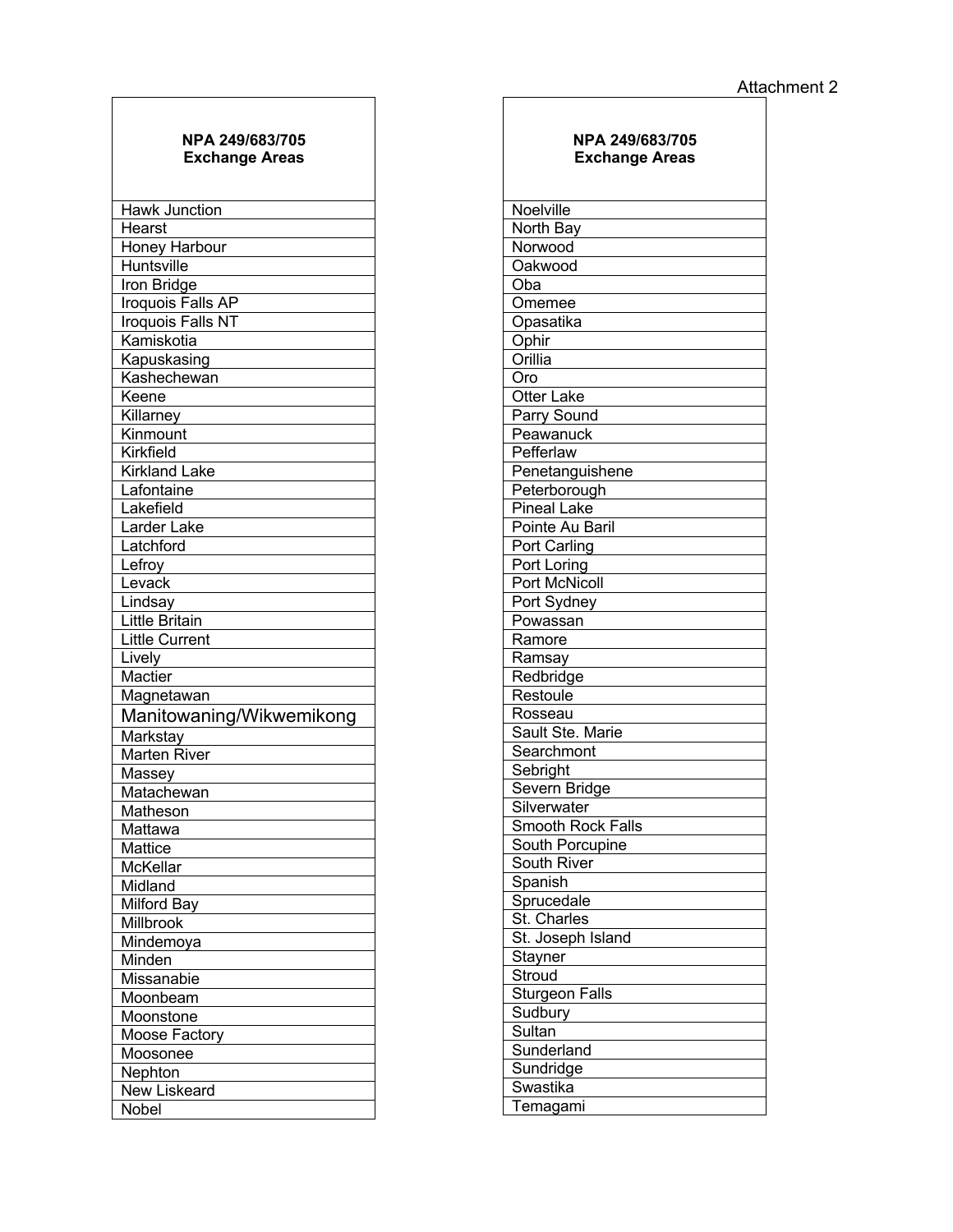#### **NPA 249/683/705 Exchange Areas**

| <b>Hawk Junction</b>     |
|--------------------------|
| Hearst                   |
| Honey Harbour            |
| <b>Huntsville</b>        |
| Iron Bridge              |
| Iroquois Falls AP        |
| Iroquois Falls NT        |
| Kamiskotia               |
| Kapuskasing              |
| Kashechewan              |
| Keene                    |
| Killarney                |
| Kinmount                 |
| Kirkfield                |
| <b>Kirkland Lake</b>     |
| Lafontaine               |
| Lakefield                |
| Larder Lake              |
| Latchford                |
| Lefroy                   |
| Levack                   |
| Lindsay                  |
| Little Britain           |
| Little Current           |
| Lively                   |
| Mactier                  |
| Magnetawan               |
| Manitowaning/Wikwemikong |
| Markstay                 |
| Marten River             |
| Massey                   |
| Matachewan               |
| Matheson                 |
| Mattawa                  |
| Mattice                  |
| McKellar                 |
| Midland                  |
| <b>Milford Bay</b>       |
|                          |
| Millbrook                |
| Mindemoya                |
| Minden                   |
| Missanabie               |
| Moonbeam                 |
| Moonstone                |
| Moose Factory            |
| Moosonee                 |
| Nephton                  |
| New Liskeard<br>Nobel    |

| <b>NPA 249/683/705</b><br><b>Exchange Areas</b> |
|-------------------------------------------------|
| Noelville                                       |
| North Bay                                       |
| Norwood                                         |
| Oakwood                                         |
| Oba                                             |
| Omemee                                          |
| Opasatika                                       |
| Ophir                                           |
| Orillia                                         |
| Oro                                             |
| <b>Otter Lake</b>                               |
| Parry Sound                                     |
| Peawanuck                                       |
| Pefferlaw                                       |
| Penetanguishene                                 |
| Peterborough                                    |
| <b>Pineal Lake</b>                              |
| Pointe Au Baril                                 |
| Port Carling                                    |
| Port Loring                                     |
| <b>Port McNicoll</b>                            |
| Port Sydney                                     |
| Powassan                                        |
| Ramore                                          |
| Ramsay                                          |
| Redbridge                                       |
| Restoule                                        |
| Rosseau                                         |
| Sault Ste. Marie                                |
| Searchmont                                      |
| Sebright                                        |
| Severn Bridge<br>Silverwater                    |
| <b>Smooth Rock Falls</b>                        |
|                                                 |
| South Porcupine<br>South River                  |
| Spanish                                         |
| Sprucedale                                      |
| St. Charles                                     |
| St. Joseph Island                               |
| Stayner                                         |
| Stroud                                          |
| <b>Sturgeon Falls</b>                           |
| Sudbury                                         |
| Sultan                                          |
|                                                 |
|                                                 |
| Sunderland                                      |
| Sundridge<br>Swastika                           |